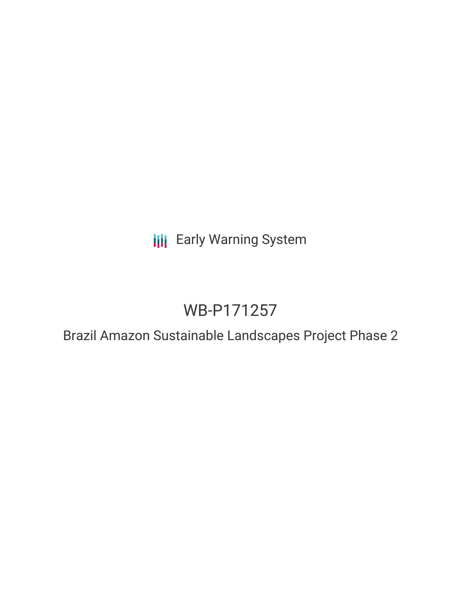**III** Early Warning System

# WB-P171257

Brazil Amazon Sustainable Landscapes Project Phase 2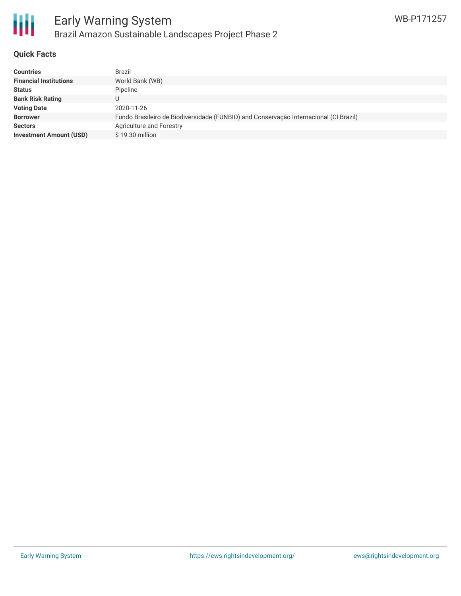

### **Quick Facts**

| <b>Countries</b>               | Brazil                                                                                |
|--------------------------------|---------------------------------------------------------------------------------------|
| <b>Financial Institutions</b>  | World Bank (WB)                                                                       |
| <b>Status</b>                  | Pipeline                                                                              |
| <b>Bank Risk Rating</b>        |                                                                                       |
| <b>Voting Date</b>             | 2020-11-26                                                                            |
| <b>Borrower</b>                | Fundo Brasileiro de Biodiversidade (FUNBIO) and Conservação Internacional (CI Brazil) |
| <b>Sectors</b>                 | Agriculture and Forestry                                                              |
| <b>Investment Amount (USD)</b> | \$19.30 million                                                                       |
|                                |                                                                                       |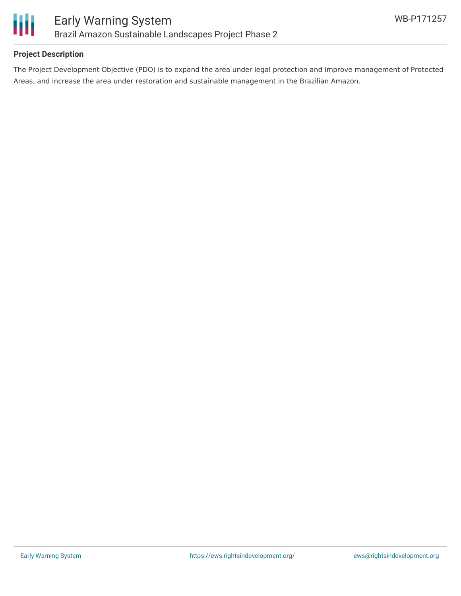

## **Project Description**

The Project Development Objective (PDO) is to expand the area under legal protection and improve management of Protected Areas, and increase the area under restoration and sustainable management in the Brazilian Amazon.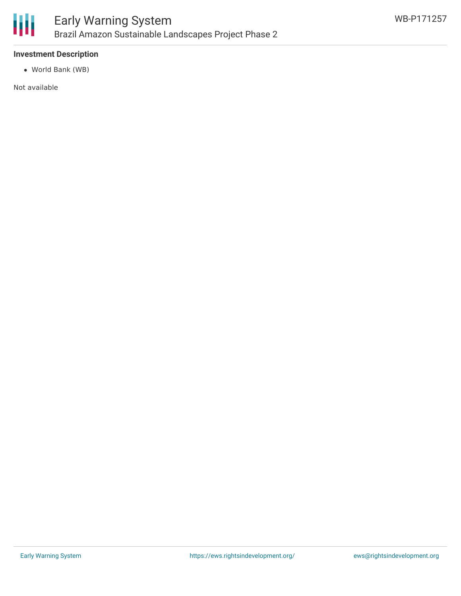

## **Investment Description**

World Bank (WB)

Not available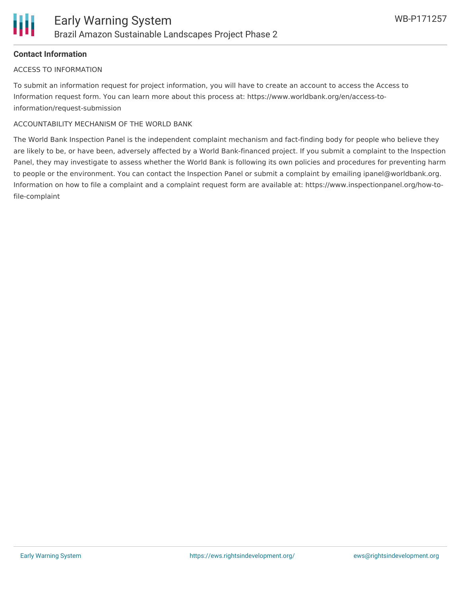## **Contact Information**

#### ACCESS TO INFORMATION

To submit an information request for project information, you will have to create an account to access the Access to Information request form. You can learn more about this process at: https://www.worldbank.org/en/access-toinformation/request-submission

#### ACCOUNTABILITY MECHANISM OF THE WORLD BANK

The World Bank Inspection Panel is the independent complaint mechanism and fact-finding body for people who believe they are likely to be, or have been, adversely affected by a World Bank-financed project. If you submit a complaint to the Inspection Panel, they may investigate to assess whether the World Bank is following its own policies and procedures for preventing harm to people or the environment. You can contact the Inspection Panel or submit a complaint by emailing ipanel@worldbank.org. Information on how to file a complaint and a complaint request form are available at: https://www.inspectionpanel.org/how-tofile-complaint